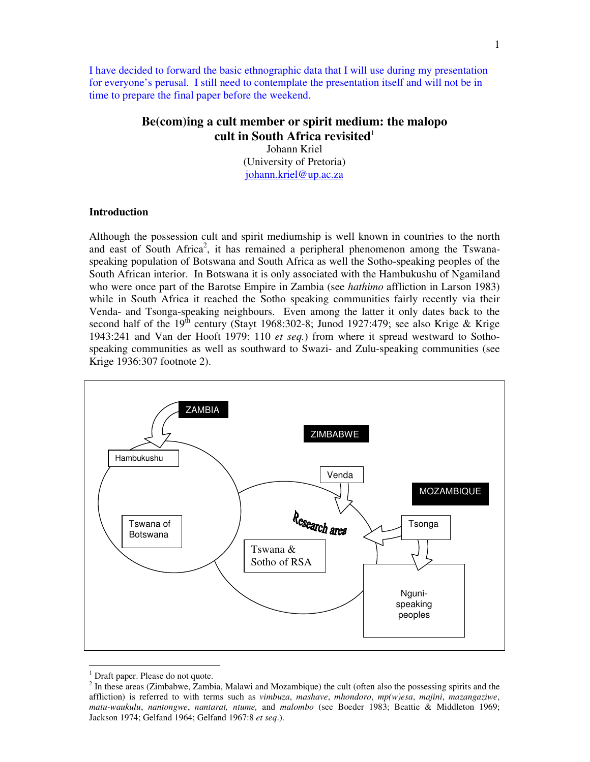I have decided to forward the basic ethnographic data that I will use during my presentation for everyone's perusal. I still need to contemplate the presentation itself and will not be in time to prepare the final paper before the weekend.

# **Be(com)ing a cult member or spirit medium: the malopo cult in South Africa revisited** 1

Johann Kriel (University of Pretoria) johann.kriel@up.ac.za

# **Introduction**

Although the possession cult and spirit mediumship is well known in countries to the north and east of South Africa<sup>2</sup>, it has remained a peripheral phenomenon among the Tswanaspeaking population of Botswana and South Africa as well the Sotho-speaking peoples of the South African interior. In Botswana it is only associated with the Hambukushu of Ngamiland who were once part of the Barotse Empire in Zambia (see *hathimo* affliction in Larson 1983) while in South Africa it reached the Sotho speaking communities fairly recently via their Venda- and Tsonga-speaking neighbours. Even among the latter it only dates back to the second half of the 19<sup>th</sup> century (Stayt 1968:302-8; Junod 1927:479; see also Krige & Krige 1943:241 and Van der Hooft 1979: 110 *et seq.*) from where it spread westward to Sothospeaking communities as well as southward to Swazi- and Zulu-speaking communities (see Krige 1936:307 footnote 2).



 $<sup>1</sup>$  Draft paper. Please do not quote.</sup>

 $2^{2}$  In these areas (Zimbabwe, Zambia, Malawi and Mozambique) the cult (often also the possessing spirits and the affliction) is referred to with terms such as *vimbuza*, *mashave*, *mhondoro*, *mp(w)esa*, *majini*, *mazangaziwe*, *matu-waukulu*, *nantongwe*, *nantarat, ntume,* and *malombo* (see Boeder 1983; Beattie & Middleton 1969; Jackson 1974; Gelfand 1964; Gelfand 1967:8 *et seq*.).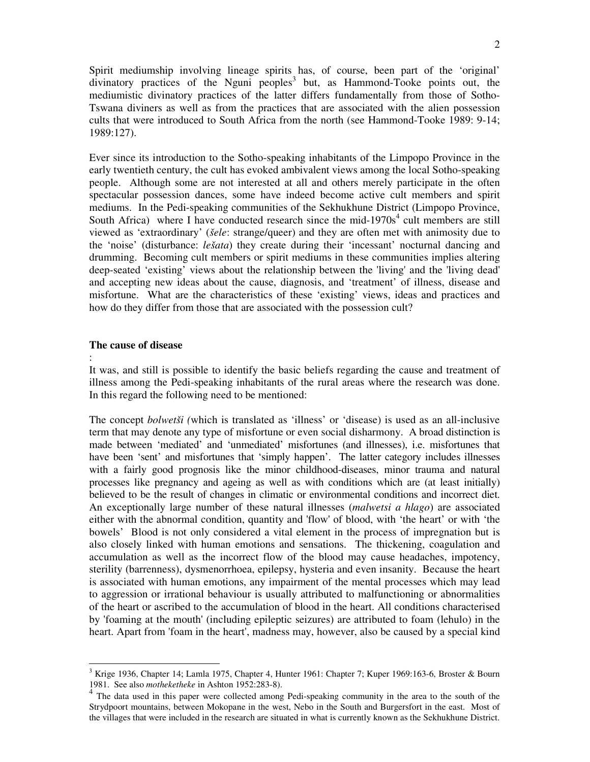Spirit mediumship involving lineage spirits has, of course, been part of the 'original' divinatory practices of the Nguni peoples<sup>3</sup> but, as Hammond-Tooke points out, the mediumistic divinatory practices of the latter differs fundamentally from those of Sotho-Tswana diviners as well as from the practices that are associated with the alien possession cults that were introduced to South Africa from the north (see Hammond-Tooke 1989: 9-14; 1989:127).

Ever since its introduction to the Sotho-speaking inhabitants of the Limpopo Province in the early twentieth century, the cult has evoked ambivalent views among the local Sotho-speaking people. Although some are not interested at all and others merely participate in the often spectacular possession dances, some have indeed become active cult members and spirit mediums. In the Pedi-speaking communities of the Sekhukhune District (Limpopo Province, South Africa) where I have conducted research since the mid-1970s<sup>4</sup> cult members are still viewed as 'extraordinary' (*šele*: strange/queer) and they are often met with animosity due to the 'noise' (disturbance: *lešata*) they create during their 'incessant' nocturnal dancing and drumming. Becoming cult members or spirit mediums in these communities implies altering deep-seated 'existing' views about the relationship between the 'living'and the 'living dead' and accepting new ideas about the cause, diagnosis, and 'treatment' of illness, disease and misfortune. What are the characteristics of these 'existing' views, ideas and practices and how do they differ from those that are associated with the possession cult?

#### **The cause of disease**

:

It was, and still is possible to identify the basic beliefs regarding the cause and treatment of illness among the Pedi-speaking inhabitants of the rural areas where the research was done. In this regard the following need to be mentioned:

The concept *bolwetši (*which is translated as 'illness' or 'disease) is used as an all-inclusive term that may denote any type of misfortune or even social disharmony. A broad distinction is made between 'mediated' and 'unmediated' misfortunes (and illnesses), i.e. misfortunes that have been 'sent' and misfortunes that 'simply happen'. The latter category includes illnesses with a fairly good prognosis like the minor childhood-diseases, minor trauma and natural processes like pregnancy and ageing as well as with conditions which are (at least initially) believed to be the result of changes in climatic or environmental conditions and incorrect diet. An exceptionally large number of these natural illnesses (*malwetsi a hlago*) are associated either with the abnormal condition, quantity and 'flow'of blood, with 'the heart' or with 'the bowels' Blood is not only considered a vital element in the process of impregnation but is also closely linked with human emotions and sensations. The thickening, coagulation and accumulation as well as the incorrect flow of the blood may cause headaches, impotency, sterility (barrenness), dysmenorrhoea, epilepsy, hysteria and even insanity. Because the heart is associated with human emotions, any impairment of the mental processes which may lead to aggression or irrational behaviour is usually attributed to malfunctioning or abnormalities of the heart or ascribed to the accumulation of blood in the heart. All conditions characterised by 'foaming at the mouth'(including epileptic seizures) are attributed to foam (lehulo) in the heart. Apart from 'foam in the heart', madness may, however, also be caused by a special kind

 $3$  Krige 1936, Chapter 14; Lamla 1975, Chapter 4, Hunter 1961: Chapter 7; Kuper 1969:163-6, Broster & Bourn 1981. See also *motheketheke* in Ashton 1952:283-8).

<sup>&</sup>lt;sup>4</sup> The data used in this paper were collected among Pedi-speaking community in the area to the south of the Strydpoort mountains, between Mokopane in the west, Nebo in the South and Burgersfort in the east. Most of the villages that were included in the research are situated in what is currently known as the Sekhukhune District.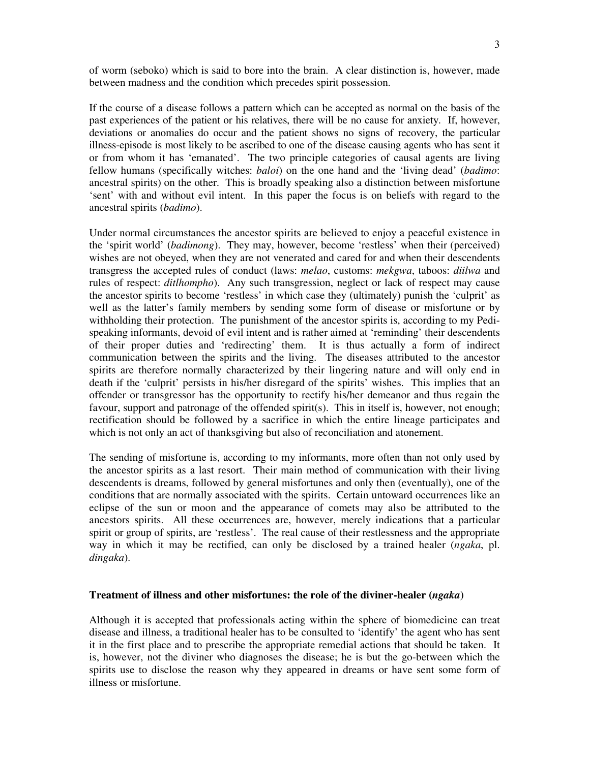of worm (seboko) which is said to bore into the brain. A clear distinction is, however, made between madness and the condition which precedes spirit possession.

If the course of a disease follows a pattern which can be accepted as normal on the basis of the past experiences of the patient or his relatives, there will be no cause for anxiety. If, however, deviations or anomalies do occur and the patient shows no signs of recovery, the particular illness-episode is most likely to be ascribed to one of the disease causing agents who has sent it or from whom it has 'emanated'. The two principle categories of causal agents are living fellow humans (specifically witches: *baloi*) on the one hand and the 'living dead' (*badimo*: ancestral spirits) on the other. This is broadly speaking also a distinction between misfortune 'sent' with and without evil intent. In this paper the focus is on beliefs with regard to the ancestral spirits (*badimo*).

Under normal circumstances the ancestor spirits are believed to enjoy a peaceful existence in the 'spirit world' (*badimong*). They may, however, become 'restless' when their (perceived) wishes are not obeyed, when they are not venerated and cared for and when their descendents transgress the accepted rules of conduct (laws: *melao*, customs: *mekgwa*, taboos: *diilwa* and rules of respect: *ditlhompho*). Any such transgression, neglect or lack of respect may cause the ancestor spirits to become 'restless' in which case they (ultimately) punish the 'culprit' as well as the latter's family members by sending some form of disease or misfortune or by withholding their protection. The punishment of the ancestor spirits is, according to my Pedispeaking informants, devoid of evil intent and is rather aimed at 'reminding' their descendents of their proper duties and 'redirecting' them. It is thus actually a form of indirect communication between the spirits and the living. The diseases attributed to the ancestor spirits are therefore normally characterized by their lingering nature and will only end in death if the 'culprit' persists in his/her disregard of the spirits' wishes. This implies that an offender or transgressor has the opportunity to rectify his/her demeanor and thus regain the favour, support and patronage of the offended spirit(s). This in itself is, however, not enough; rectification should be followed by a sacrifice in which the entire lineage participates and which is not only an act of thanksgiving but also of reconciliation and atonement.

The sending of misfortune is, according to my informants, more often than not only used by the ancestor spirits as a last resort. Their main method of communication with their living descendents is dreams, followed by general misfortunes and only then (eventually), one of the conditions that are normally associated with the spirits. Certain untoward occurrences like an eclipse of the sun or moon and the appearance of comets may also be attributed to the ancestors spirits. All these occurrences are, however, merely indications that a particular spirit or group of spirits, are 'restless'. The real cause of their restlessness and the appropriate way in which it may be rectified, can only be disclosed by a trained healer (*ngaka*, pl. *dingaka*).

# **Treatment of illness and other misfortunes: the role of the diviner-healer (***ngaka***)**

Although it is accepted that professionals acting within the sphere of biomedicine can treat disease and illness, a traditional healer has to be consulted to 'identify' the agent who has sent it in the first place and to prescribe the appropriate remedial actions that should be taken. It is, however, not the diviner who diagnoses the disease; he is but the go-between which the spirits use to disclose the reason why they appeared in dreams or have sent some form of illness or misfortune.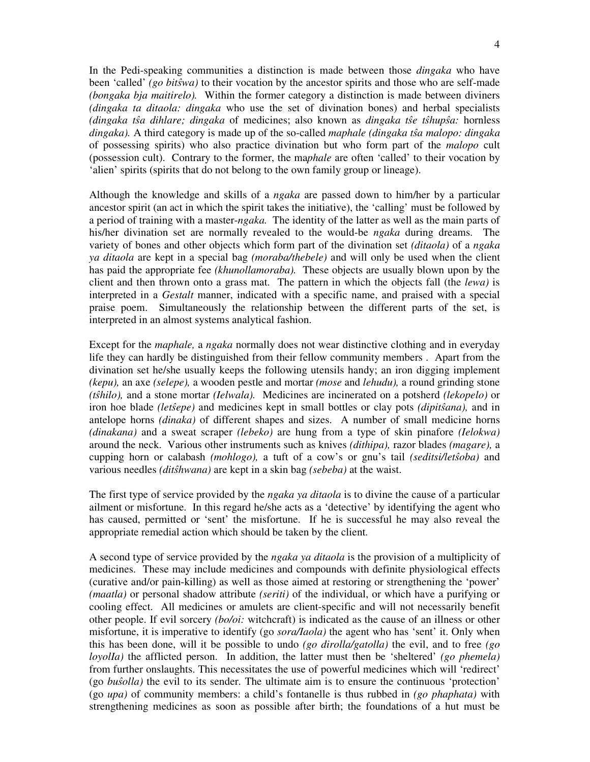In the Pedi-speaking communities a distinction is made between those *dingaka* who have been 'called' *(go bitwa)* to their vocation by the ancestor spirits and those who are self-made *(bongaka bja maitirelo).* Within the former category a distinction is made between diviners *(dingaka ta ditaola: dingaka* who use the set of divination bones) and herbal specialists *(dingaka ta dihlare; dingaka* of medicines; also known as *dingaka te thupa:* hornless *dingaka).* A third category is made up of the so-called *maphale (dingaka ta malopo: dingaka* of possessing spirits) who also practice divination but who form part of the *malopo* cult (possession cult). Contrary to the former, the ma*phale* are often 'called' to their vocation by 'alien' spirits (spirits that do not belong to the own family group or lineage).

Although the knowledge and skills of a *ngaka* are passed down to him/her by a particular ancestor spirit (an act in which the spirit takes the initiative), the 'calling' must be followed by a period of training with a master-*ngaka.* The identity of the latter as well as the main parts of his/her divination set are normally revealed to the would-be *ngaka* during dreams. The variety of bones and other objects which form part of the divination set *(ditaola)* of a *ngaka ya ditaola* are kept in a special bag *(moraba/thebele)* and will only be used when the client has paid the appropriate fee *(khunollamoraba).* These objects are usually blown upon by the client and then thrown onto a grass mat. The pattern in which the objects fall (the *lewa)* is interpreted in a *Gestalt* manner, indicated with a specific name, and praised with a special praise poem. Simultaneously the relationship between the different parts of the set, is interpreted in an almost systems analytical fashion.

Except for the *maphale,* a *ngaka* normally does not wear distinctive clothing and in everyday life they can hardly be distinguished from their fellow community members . Apart from the divination set he/she usually keeps the following utensils handy; an iron digging implement *(kepu),* an axe *(selepe),* a wooden pestle and mortar *(mose* and *lehudu),* a round grinding stone *(thilo),* and a stone mortar *(Ielwala).* Medicines are incinerated on a potsherd *(lekopelo)* or iron hoe blade *(letsepe)* and medicines kept in small bottles or clay pots *(dipitsana)*, and in antelope horns *(dinaka)* of different shapes and sizes. A number of small medicine horns *(dinakana)* and a sweat scraper *(lebeko)* are hung from a type of skin pinafore *(Ielokwa)* around the neck. Various other instruments such as knives *(dithipa),* razor blades *(magare),* a cupping horn or calabash *(mohlogo),* a tuft of a cow's or gnu's tail *(seditsi/letoba)* and various needles *(dithwana)* are kept in a skin bag *(sebeba)* at the waist.

The first type of service provided by the *ngaka ya ditaola* is to divine the cause of a particular ailment or misfortune. In this regard he/she acts as a 'detective' by identifying the agent who has caused, permitted or 'sent' the misfortune. If he is successful he may also reveal the appropriate remedial action which should be taken by the client.

A second type of service provided by the *ngaka ya ditaola* is the provision of a multiplicity of medicines. These may include medicines and compounds with definite physiological effects (curative and/or pain-killing) as well as those aimed at restoring or strengthening the 'power' *(maatla)* or personal shadow attribute *(seriti)* of the individual, or which have a purifying or cooling effect. All medicines or amulets are client-specific and will not necessarily benefit other people. If evil sorcery *(bo/oi:* witchcraft) is indicated as the cause of an illness or other misfortune, it is imperative to identify (go *sora/Iaola)* the agent who has 'sent' it. Only when this has been done, will it be possible to undo *(go dirolla/gatolla)* the evil, and to free *(go loyolIa)* the afflicted person. In addition, the latter must then be 'sheltered' *(go phemela)* from further onslaughts. This necessitates the use of powerful medicines which will 'redirect' (go *buolla)* the evil to its sender. The ultimate aim is to ensure the continuous 'protection' (go *upa)* of community members: a child's fontanelle is thus rubbed in *(go phaphata)* with strengthening medicines as soon as possible after birth; the foundations of a hut must be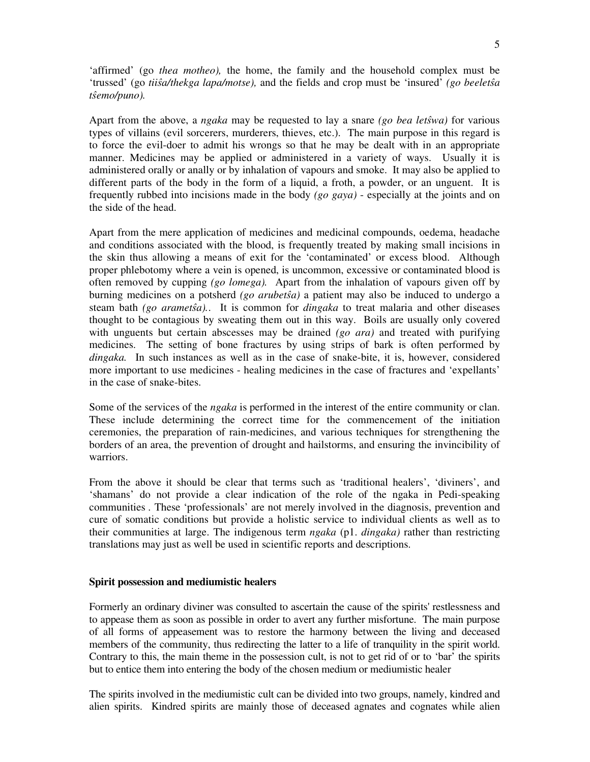'affirmed' (go *thea motheo),* the home, the family and the household complex must be 'trussed' (go *tiia/thekga lapa/motse),* and the fields and crop must be 'insured' *(go beeleta temo/puno).*

Apart from the above, a *ngaka* may be requested to lay a snare *(go bea letwa)* for various types of villains (evil sorcerers, murderers, thieves, etc.). The main purpose in this regard is to force the evil-doer to admit his wrongs so that he may be dealt with in an appropriate manner. Medicines may be applied or administered in a variety of ways. Usually it is administered orally or anally or by inhalation of vapours and smoke. It may also be applied to different parts of the body in the form of a liquid, a froth, a powder, or an unguent. It is frequently rubbed into incisions made in the body *(go gaya)* - especially at the joints and on the side of the head.

Apart from the mere application of medicines and medicinal compounds, oedema, headache and conditions associated with the blood, is frequently treated by making small incisions in the skin thus allowing a means of exit for the 'contaminated' or excess blood. Although proper phlebotomy where a vein is opened, is uncommon, excessive or contaminated blood is often removed by cupping *(go lomega).* Apart from the inhalation of vapours given off by burning medicines on a potsherd *(go arubeta)* a patient may also be induced to undergo a steam bath *(go arametŝa)*.. It is common for *dingaka* to treat malaria and other diseases thought to be contagious by sweating them out in this way. Boils are usually only covered with unguents but certain abscesses may be drained *(go ara)* and treated with purifying medicines. The setting of bone fractures by using strips of bark is often performed by *dingaka.* In such instances as well as in the case of snake-bite, it is, however, considered more important to use medicines - healing medicines in the case of fractures and 'expellants' in the case of snake-bites.

Some of the services of the *ngaka* is performed in the interest of the entire community or clan. These include determining the correct time for the commencement of the initiation ceremonies, the preparation of rain-medicines, and various techniques for strengthening the borders of an area, the prevention of drought and hailstorms, and ensuring the invincibility of warriors.

From the above it should be clear that terms such as 'traditional healers', 'diviners', and 'shamans' do not provide a clear indication of the role of the ngaka in Pedi-speaking communities *.* These 'professionals' are not merely involved in the diagnosis, prevention and cure of somatic conditions but provide a holistic service to individual clients as well as to their communities at large. The indigenous term *ngaka* (p1. *dingaka)* rather than restricting translations may just as well be used in scientific reports and descriptions.

#### **Spirit possession and mediumistic healers**

Formerly an ordinary diviner was consulted to ascertain the cause of the spirits'restlessness and to appease them as soon as possible in order to avert any further misfortune. The main purpose of all forms of appeasement was to restore the harmony between the living and deceased members of the community, thus redirecting the latter to a life of tranquility in the spirit world. Contrary to this, the main theme in the possession cult, is not to get rid of or to 'bar' the spirits but to entice them into entering the body of the chosen medium or mediumistic healer

The spirits involved in the mediumistic cult can be divided into two groups, namely, kindred and alien spirits. Kindred spirits are mainly those of deceased agnates and cognates while alien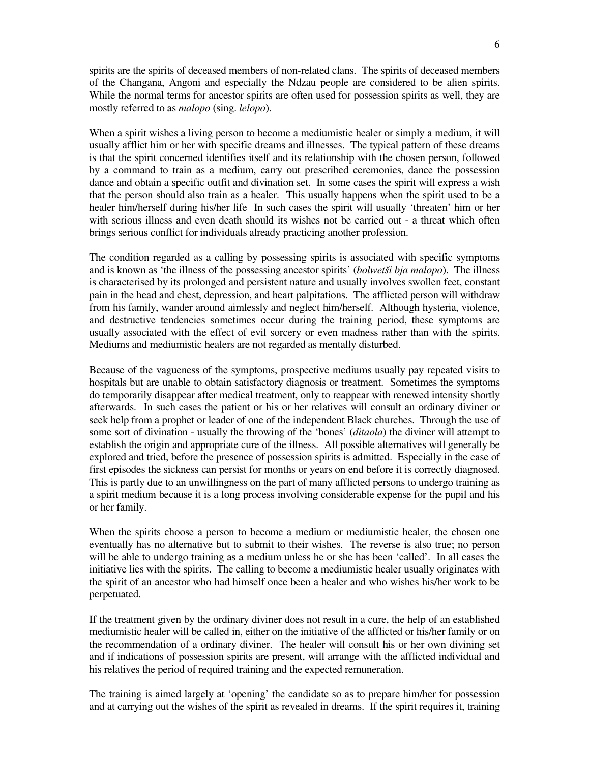spirits are the spirits of deceased members of non-related clans. The spirits of deceased members of the Changana, Angoni and especially the Ndzau people are considered to be alien spirits. While the normal terms for ancestor spirits are often used for possession spirits as well, they are mostly referred to as *malopo* (sing. *lelopo*).

When a spirit wishes a living person to become a mediumistic healer or simply a medium, it will usually afflict him or her with specific dreams and illnesses. The typical pattern of these dreams is that the spirit concerned identifies itself and its relationship with the chosen person, followed by a command to train as a medium, carry out prescribed ceremonies, dance the possession dance and obtain a specific outfit and divination set. In some cases the spirit will express a wish that the person should also train as a healer. This usually happens when the spirit used to be a healer him/herself during his/her life In such cases the spirit will usually 'threaten' him or her with serious illness and even death should its wishes not be carried out - a threat which often brings serious conflict for individuals already practicing another profession.

The condition regarded as a calling by possessing spirits is associated with specific symptoms and is known as 'the illness of the possessing ancestor spirits' (*bolwetši bja malopo*). The illness is characterised by its prolonged and persistent nature and usually involves swollen feet, constant pain in the head and chest, depression, and heart palpitations. The afflicted person will withdraw from his family, wander around aimlessly and neglect him/herself. Although hysteria, violence, and destructive tendencies sometimes occur during the training period, these symptoms are usually associated with the effect of evil sorcery or even madness rather than with the spirits. Mediums and mediumistic healers are not regarded as mentally disturbed.

Because of the vagueness of the symptoms, prospective mediums usually pay repeated visits to hospitals but are unable to obtain satisfactory diagnosis or treatment. Sometimes the symptoms do temporarily disappear after medical treatment, only to reappear with renewed intensity shortly afterwards. In such cases the patient or his or her relatives will consult an ordinary diviner or seek help from a prophet or leader of one of the independent Black churches. Through the use of some sort of divination - usually the throwing of the 'bones' (*ditaola*) the diviner will attempt to establish the origin and appropriate cure of the illness. All possible alternatives will generally be explored and tried, before the presence of possession spirits is admitted. Especially in the case of first episodes the sickness can persist for months or years on end before it is correctly diagnosed. This is partly due to an unwillingness on the part of many afflicted persons to undergo training as a spirit medium because it is a long process involving considerable expense for the pupil and his or her family.

When the spirits choose a person to become a medium or mediumistic healer, the chosen one eventually has no alternative but to submit to their wishes. The reverse is also true; no person will be able to undergo training as a medium unless he or she has been 'called'. In all cases the initiative lies with the spirits. The calling to become a mediumistic healer usually originates with the spirit of an ancestor who had himself once been a healer and who wishes his/her work to be perpetuated.

If the treatment given by the ordinary diviner does not result in a cure, the help of an established mediumistic healer will be called in, either on the initiative of the afflicted or his/her family or on the recommendation of a ordinary diviner. The healer will consult his or her own divining set and if indications of possession spirits are present, will arrange with the afflicted individual and his relatives the period of required training and the expected remuneration.

The training is aimed largely at 'opening' the candidate so as to prepare him/her for possession and at carrying out the wishes of the spirit as revealed in dreams. If the spirit requires it, training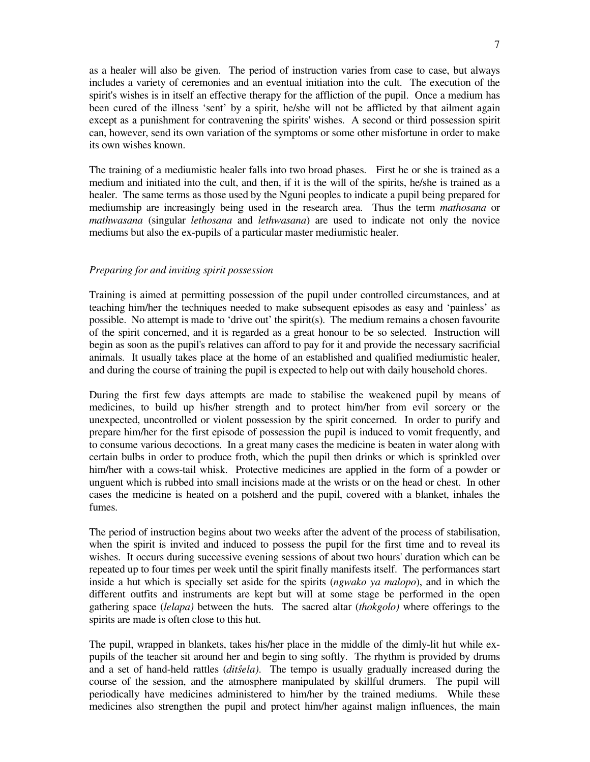as a healer will also be given. The period of instruction varies from case to case, but always includes a variety of ceremonies and an eventual initiation into the cult. The execution of the spirit's wishes is in itself an effective therapy for the affliction of the pupil. Once a medium has been cured of the illness 'sent' by a spirit, he/she will not be afflicted by that ailment again except as a punishment for contravening the spirits'wishes. A second or third possession spirit can, however, send its own variation of the symptoms or some other misfortune in order to make its own wishes known.

The training of a mediumistic healer falls into two broad phases. First he or she is trained as a medium and initiated into the cult, and then, if it is the will of the spirits, he/she is trained as a healer. The same terms as those used by the Nguni peoples to indicate a pupil being prepared for mediumship are increasingly being used in the research area. Thus the term *mathosana* or *mathwasana* (singular *lethosana* and *lethwasana*) are used to indicate not only the novice mediums but also the ex-pupils of a particular master mediumistic healer.

# *Preparing for and inviting spirit possession*

Training is aimed at permitting possession of the pupil under controlled circumstances, and at teaching him/her the techniques needed to make subsequent episodes as easy and 'painless' as possible. No attempt is made to 'drive out' the spirit(s). The medium remains a chosen favourite of the spirit concerned, and it is regarded as a great honour to be so selected. Instruction will begin as soon as the pupil's relatives can afford to pay for it and provide the necessary sacrificial animals. It usually takes place at the home of an established and qualified mediumistic healer, and during the course of training the pupil is expected to help out with daily household chores.

During the first few days attempts are made to stabilise the weakened pupil by means of medicines, to build up his/her strength and to protect him/her from evil sorcery or the unexpected, uncontrolled or violent possession by the spirit concerned. In order to purify and prepare him/her for the first episode of possession the pupil is induced to vomit frequently, and to consume various decoctions. In a great many cases the medicine is beaten in water along with certain bulbs in order to produce froth, which the pupil then drinks or which is sprinkled over him/her with a cows-tail whisk. Protective medicines are applied in the form of a powder or unguent which is rubbed into small incisions made at the wrists or on the head or chest. In other cases the medicine is heated on a potsherd and the pupil, covered with a blanket, inhales the fumes.

The period of instruction begins about two weeks after the advent of the process of stabilisation, when the spirit is invited and induced to possess the pupil for the first time and to reveal its wishes. It occurs during successive evening sessions of about two hours' duration which can be repeated up to four times per week until the spirit finally manifests itself. The performances start inside a hut which is specially set aside for the spirits (*ngwako ya malopo*), and in which the different outfits and instruments are kept but will at some stage be performed in the open gathering space (*lelapa)* between the huts. The sacred altar (*thokgolo)* where offerings to the spirits are made is often close to this hut.

The pupil, wrapped in blankets, takes his/her place in the middle of the dimly-lit hut while expupils of the teacher sit around her and begin to sing softly. The rhythm is provided by drums and a set of hand-held rattles (*ditela)*. The tempo is usually gradually increased during the course of the session, and the atmosphere manipulated by skillful drumers. The pupil will periodically have medicines administered to him/her by the trained mediums. While these medicines also strengthen the pupil and protect him/her against malign influences, the main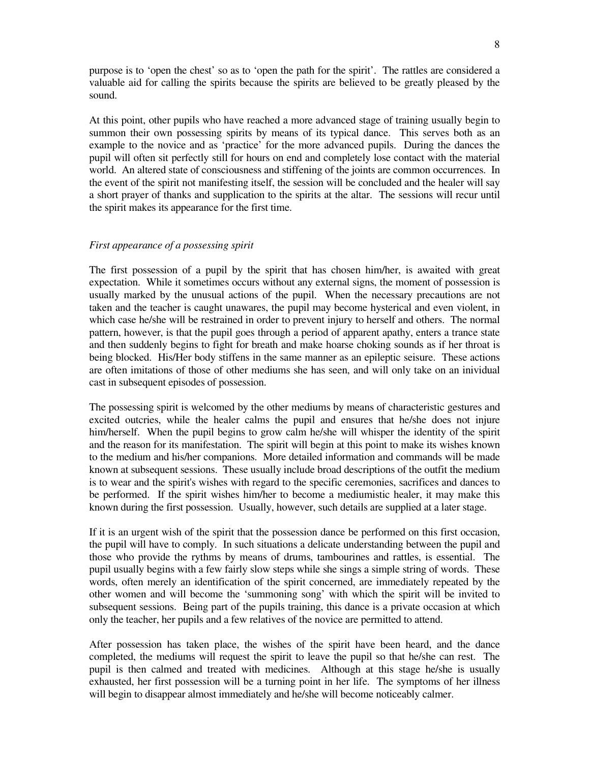purpose is to 'open the chest' so as to 'open the path for the spirit'. The rattles are considered a valuable aid for calling the spirits because the spirits are believed to be greatly pleased by the sound.

At this point, other pupils who have reached a more advanced stage of training usually begin to summon their own possessing spirits by means of its typical dance. This serves both as an example to the novice and as 'practice' for the more advanced pupils. During the dances the pupil will often sit perfectly still for hours on end and completely lose contact with the material world. An altered state of consciousness and stiffening of the joints are common occurrences. In the event of the spirit not manifesting itself, the session will be concluded and the healer will say a short prayer of thanks and supplication to the spirits at the altar. The sessions will recur until the spirit makes its appearance for the first time.

#### *First appearance of a possessing spirit*

The first possession of a pupil by the spirit that has chosen him/her, is awaited with great expectation. While it sometimes occurs without any external signs, the moment of possession is usually marked by the unusual actions of the pupil. When the necessary precautions are not taken and the teacher is caught unawares, the pupil may become hysterical and even violent, in which case he/she will be restrained in order to prevent injury to herself and others. The normal pattern, however, is that the pupil goes through a period of apparent apathy, enters a trance state and then suddenly begins to fight for breath and make hoarse choking sounds as if her throat is being blocked. His/Her body stiffens in the same manner as an epileptic seisure. These actions are often imitations of those of other mediums she has seen, and will only take on an inividual cast in subsequent episodes of possession.

The possessing spirit is welcomed by the other mediums by means of characteristic gestures and excited outcries, while the healer calms the pupil and ensures that he/she does not injure him/herself. When the pupil begins to grow calm he/she will whisper the identity of the spirit and the reason for its manifestation. The spirit will begin at this point to make its wishes known to the medium and his/her companions. More detailed information and commands will be made known at subsequent sessions. These usually include broad descriptions of the outfit the medium is to wear and the spirit's wishes with regard to the specific ceremonies, sacrifices and dances to be performed. If the spirit wishes him/her to become a mediumistic healer, it may make this known during the first possession. Usually, however, such details are supplied at a later stage.

If it is an urgent wish of the spirit that the possession dance be performed on this first occasion, the pupil will have to comply. In such situations a delicate understanding between the pupil and those who provide the rythms by means of drums, tambourines and rattles, is essential. The pupil usually begins with a few fairly slow steps while she sings a simple string of words. These words, often merely an identification of the spirit concerned, are immediately repeated by the other women and will become the 'summoning song' with which the spirit will be invited to subsequent sessions. Being part of the pupils training, this dance is a private occasion at which only the teacher, her pupils and a few relatives of the novice are permitted to attend.

After possession has taken place, the wishes of the spirit have been heard, and the dance completed, the mediums will request the spirit to leave the pupil so that he/she can rest. The pupil is then calmed and treated with medicines. Although at this stage he/she is usually exhausted, her first possession will be a turning point in her life. The symptoms of her illness will begin to disappear almost immediately and he/she will become noticeably calmer.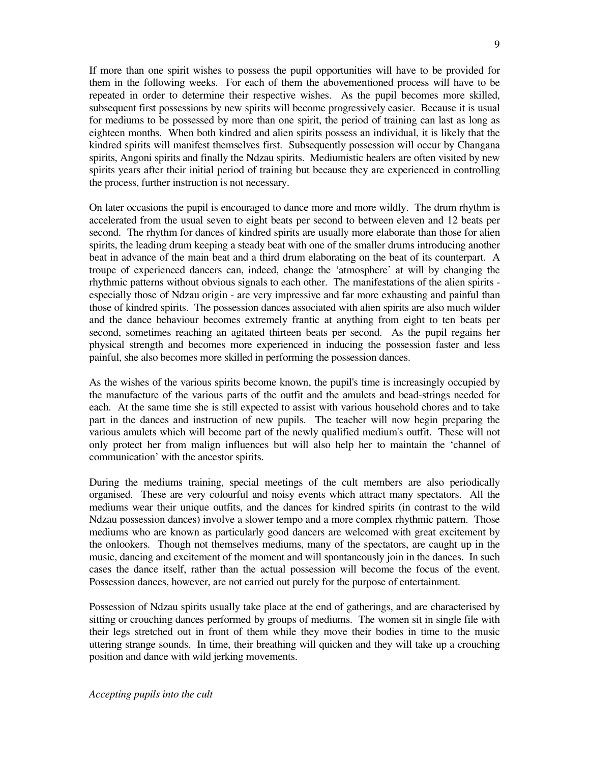If more than one spirit wishes to possess the pupil opportunities will have to be provided for them in the following weeks. For each of them the abovementioned process will have to be repeated in order to determine their respective wishes. As the pupil becomes more skilled, subsequent first possessions by new spirits will become progressively easier. Because it is usual for mediums to be possessed by more than one spirit, the period of training can last as long as eighteen months. When both kindred and alien spirits possess an individual, it is likely that the kindred spirits will manifest themselves first. Subsequently possession will occur by Changana spirits, Angoni spirits and finally the Ndzau spirits. Mediumistic healers are often visited by new spirits years after their initial period of training but because they are experienced in controlling the process, further instruction is not necessary.

On later occasions the pupil is encouraged to dance more and more wildly. The drum rhythm is accelerated from the usual seven to eight beats per second to between eleven and 12 beats per second. The rhythm for dances of kindred spirits are usually more elaborate than those for alien spirits, the leading drum keeping a steady beat with one of the smaller drums introducing another beat in advance of the main beat and a third drum elaborating on the beat of its counterpart. A troupe of experienced dancers can, indeed, change the 'atmosphere' at will by changing the rhythmic patterns without obvious signals to each other. The manifestations of the alien spirits especially those of Ndzau origin - are very impressive and far more exhausting and painful than those of kindred spirits. The possession dances associated with alien spirits are also much wilder and the dance behaviour becomes extremely frantic at anything from eight to ten beats per second, sometimes reaching an agitated thirteen beats per second. As the pupil regains her physical strength and becomes more experienced in inducing the possession faster and less painful, she also becomes more skilled in performing the possession dances.

As the wishes of the various spirits become known, the pupil's time is increasingly occupied by the manufacture of the various parts of the outfit and the amulets and bead-strings needed for each. At the same time she is still expected to assist with various household chores and to take part in the dances and instruction of new pupils. The teacher will now begin preparing the various amulets which will become part of the newly qualified medium's outfit. These will not only protect her from malign influences but will also help her to maintain the 'channel of communication' with the ancestor spirits.

During the mediums training, special meetings of the cult members are also periodically organised. These are very colourful and noisy events which attract many spectators. All the mediums wear their unique outfits, and the dances for kindred spirits (in contrast to the wild Ndzau possession dances) involve a slower tempo and a more complex rhythmic pattern. Those mediums who are known as particularly good dancers are welcomed with great excitement by the onlookers. Though not themselves mediums, many of the spectators, are caught up in the music, dancing and excitement of the moment and will spontaneously join in the dances. In such cases the dance itself, rather than the actual possession will become the focus of the event. Possession dances, however, are not carried out purely for the purpose of entertainment.

Possession of Ndzau spirits usually take place at the end of gatherings, and are characterised by sitting or crouching dances performed by groups of mediums. The women sit in single file with their legs stretched out in front of them while they move their bodies in time to the music uttering strange sounds. In time, their breathing will quicken and they will take up a crouching position and dance with wild jerking movements.

*Accepting pupils into the cult*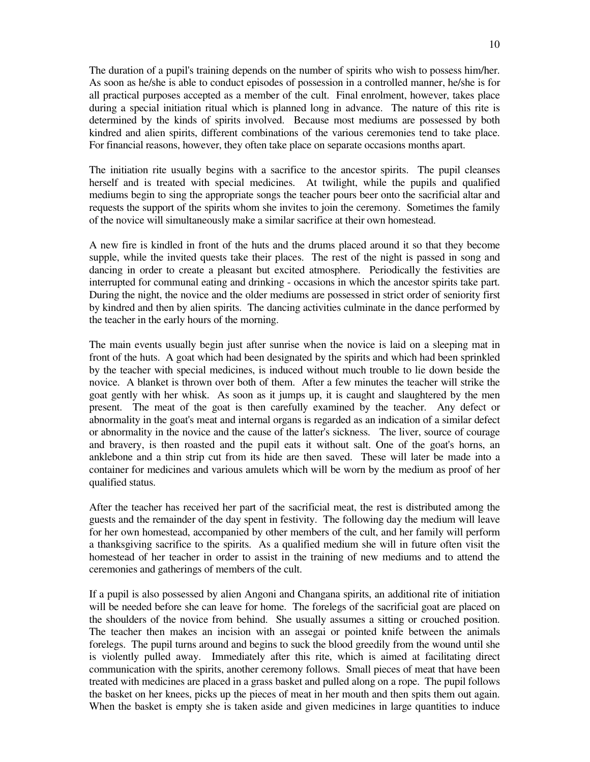The duration of a pupil's training depends on the number of spirits who wish to possess him/her. As soon as he/she is able to conduct episodes of possession in a controlled manner, he/she is for all practical purposes accepted as a member of the cult. Final enrolment, however, takes place during a special initiation ritual which is planned long in advance. The nature of this rite is determined by the kinds of spirits involved. Because most mediums are possessed by both kindred and alien spirits, different combinations of the various ceremonies tend to take place. For financial reasons, however, they often take place on separate occasions months apart.

The initiation rite usually begins with a sacrifice to the ancestor spirits. The pupil cleanses herself and is treated with special medicines. At twilight, while the pupils and qualified mediums begin to sing the appropriate songs the teacher pours beer onto the sacrificial altar and requests the support of the spirits whom she invites to join the ceremony. Sometimes the family of the novice will simultaneously make a similar sacrifice at their own homestead.

A new fire is kindled in front of the huts and the drums placed around it so that they become supple, while the invited quests take their places. The rest of the night is passed in song and dancing in order to create a pleasant but excited atmosphere. Periodically the festivities are interrupted for communal eating and drinking - occasions in which the ancestor spirits take part. During the night, the novice and the older mediums are possessed in strict order of seniority first by kindred and then by alien spirits. The dancing activities culminate in the dance performed by the teacher in the early hours of the morning.

The main events usually begin just after sunrise when the novice is laid on a sleeping mat in front of the huts. A goat which had been designated by the spirits and which had been sprinkled by the teacher with special medicines, is induced without much trouble to lie down beside the novice. A blanket is thrown over both of them. After a few minutes the teacher will strike the goat gently with her whisk. As soon as it jumps up, it is caught and slaughtered by the men present. The meat of the goat is then carefully examined by the teacher. Any defect or abnormality in the goat's meat and internal organs is regarded as an indication of a similar defect or abnormality in the novice and the cause of the latter's sickness. The liver, source of courage and bravery, is then roasted and the pupil eats it without salt. One of the goat's horns, an anklebone and a thin strip cut from its hide are then saved. These will later be made into a container for medicines and various amulets which will be worn by the medium as proof of her qualified status.

After the teacher has received her part of the sacrificial meat, the rest is distributed among the guests and the remainder of the day spent in festivity. The following day the medium will leave for her own homestead, accompanied by other members of the cult, and her family will perform a thanksgiving sacrifice to the spirits. As a qualified medium she will in future often visit the homestead of her teacher in order to assist in the training of new mediums and to attend the ceremonies and gatherings of members of the cult.

If a pupil is also possessed by alien Angoni and Changana spirits, an additional rite of initiation will be needed before she can leave for home. The forelegs of the sacrificial goat are placed on the shoulders of the novice from behind. She usually assumes a sitting or crouched position. The teacher then makes an incision with an assegai or pointed knife between the animals forelegs. The pupil turns around and begins to suck the blood greedily from the wound until she is violently pulled away. Immediately after this rite, which is aimed at facilitating direct communication with the spirits, another ceremony follows. Small pieces of meat that have been treated with medicines are placed in a grass basket and pulled along on a rope. The pupil follows the basket on her knees, picks up the pieces of meat in her mouth and then spits them out again. When the basket is empty she is taken aside and given medicines in large quantities to induce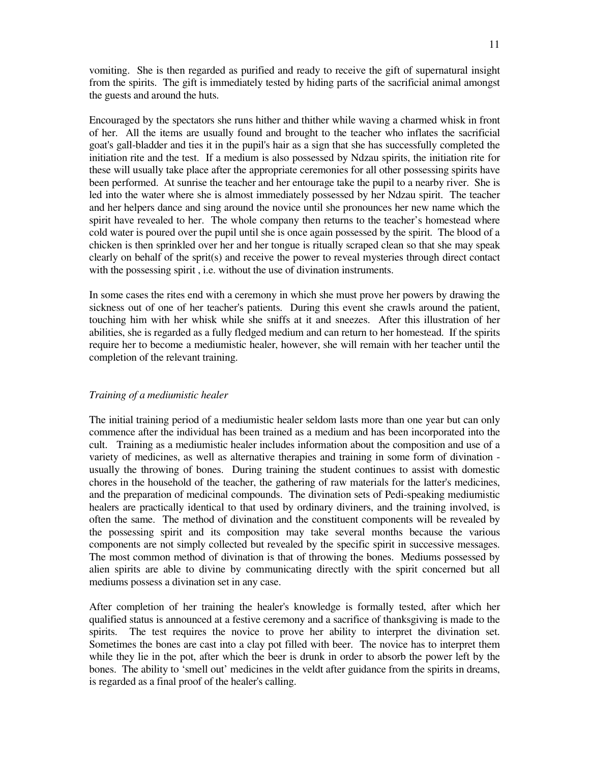vomiting. She is then regarded as purified and ready to receive the gift of supernatural insight from the spirits. The gift is immediately tested by hiding parts of the sacrificial animal amongst the guests and around the huts.

Encouraged by the spectators she runs hither and thither while waving a charmed whisk in front of her. All the items are usually found and brought to the teacher who inflates the sacrificial goat's gall-bladder and ties it in the pupil's hair as a sign that she has successfully completed the initiation rite and the test. If a medium is also possessed by Ndzau spirits, the initiation rite for these will usually take place after the appropriate ceremonies for all other possessing spirits have been performed. At sunrise the teacher and her entourage take the pupil to a nearby river. She is led into the water where she is almost immediately possessed by her Ndzau spirit. The teacher and her helpers dance and sing around the novice until she pronounces her new name which the spirit have revealed to her. The whole company then returns to the teacher's homestead where cold water is poured over the pupil until she is once again possessed by the spirit. The blood of a chicken is then sprinkled over her and her tongue is ritually scraped clean so that she may speak clearly on behalf of the sprit(s) and receive the power to reveal mysteries through direct contact with the possessing spirit , i.e. without the use of divination instruments.

In some cases the rites end with a ceremony in which she must prove her powers by drawing the sickness out of one of her teacher's patients. During this event she crawls around the patient, touching him with her whisk while she sniffs at it and sneezes. After this illustration of her abilities, she is regarded as a fully fledged medium and can return to her homestead. If the spirits require her to become a mediumistic healer, however, she will remain with her teacher until the completion of the relevant training.

#### *Training of a mediumistic healer*

The initial training period of a mediumistic healer seldom lasts more than one year but can only commence after the individual has been trained as a medium and has been incorporated into the cult. Training as a mediumistic healer includes information about the composition and use of a variety of medicines, as well as alternative therapies and training in some form of divination usually the throwing of bones. During training the student continues to assist with domestic chores in the household of the teacher, the gathering of raw materials for the latter's medicines, and the preparation of medicinal compounds. The divination sets of Pedi-speaking mediumistic healers are practically identical to that used by ordinary diviners, and the training involved, is often the same. The method of divination and the constituent components will be revealed by the possessing spirit and its composition may take several months because the various components are not simply collected but revealed by the specific spirit in successive messages. The most common method of divination is that of throwing the bones. Mediums possessed by alien spirits are able to divine by communicating directly with the spirit concerned but all mediums possess a divination set in any case.

After completion of her training the healer's knowledge is formally tested, after which her qualified status is announced at a festive ceremony and a sacrifice of thanksgiving is made to the spirits. The test requires the novice to prove her ability to interpret the divination set. Sometimes the bones are cast into a clay pot filled with beer. The novice has to interpret them while they lie in the pot, after which the beer is drunk in order to absorb the power left by the bones. The ability to 'smell out' medicines in the veldt after guidance from the spirits in dreams, is regarded as a final proof of the healer's calling.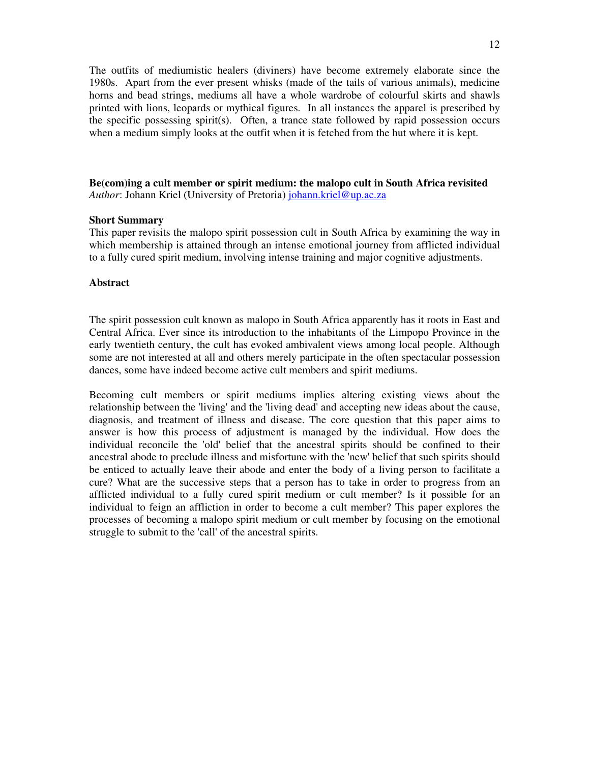The outfits of mediumistic healers (diviners) have become extremely elaborate since the 1980s. Apart from the ever present whisks (made of the tails of various animals), medicine horns and bead strings, mediums all have a whole wardrobe of colourful skirts and shawls printed with lions, leopards or mythical figures. In all instances the apparel is prescribed by the specific possessing spirit(s). Often, a trance state followed by rapid possession occurs when a medium simply looks at the outfit when it is fetched from the hut where it is kept.

**Be(com)ing a cult member or spirit medium: the malopo cult in South Africa revisited** *Author*: Johann Kriel (University of Pretoria) johann.kriel@up.ac.za

#### **Short Summary**

This paper revisits the malopo spirit possession cult in South Africa by examining the way in which membership is attained through an intense emotional journey from afflicted individual to a fully cured spirit medium, involving intense training and major cognitive adjustments.

### **Abstract**

The spirit possession cult known as malopo in South Africa apparently has it roots in East and Central Africa. Ever since its introduction to the inhabitants of the Limpopo Province in the early twentieth century, the cult has evoked ambivalent views among local people. Although some are not interested at all and others merely participate in the often spectacular possession dances, some have indeed become active cult members and spirit mediums.

Becoming cult members or spirit mediums implies altering existing views about the relationship between the 'living'and the 'living dead'and accepting new ideas about the cause, diagnosis, and treatment of illness and disease. The core question that this paper aims to answer is how this process of adjustment is managed by the individual. How does the individual reconcile the 'old'belief that the ancestral spirits should be confined to their ancestral abode to preclude illness and misfortune with the 'new'belief that such spirits should be enticed to actually leave their abode and enter the body of a living person to facilitate a cure? What are the successive steps that a person has to take in order to progress from an afflicted individual to a fully cured spirit medium or cult member? Is it possible for an individual to feign an affliction in order to become a cult member? This paper explores the processes of becoming a malopo spirit medium or cult member by focusing on the emotional struggle to submit to the 'call'of the ancestral spirits.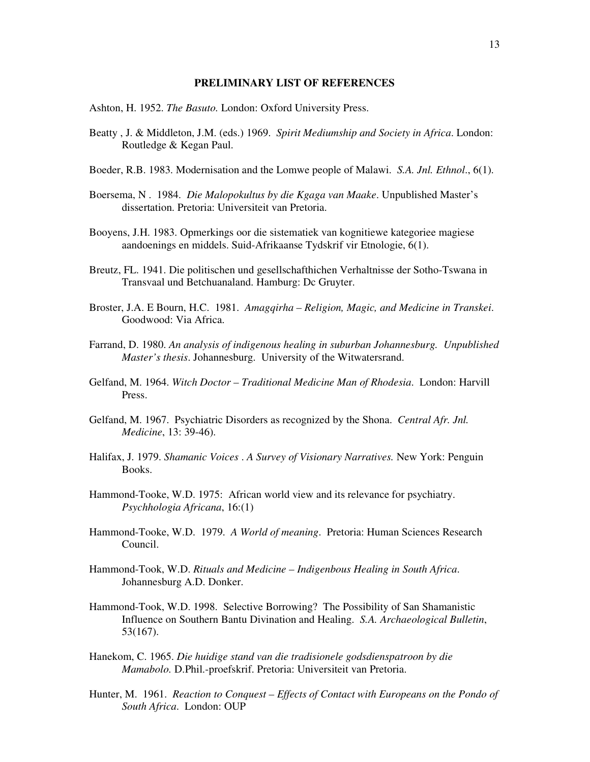#### **PRELIMINARY LIST OF REFERENCES**

Ashton, H. 1952. *The Basuto.* London: Oxford University Press.

- Beatty , J. & Middleton, J.M. (eds.) 1969. *Spirit Mediumship and Society in Africa*. London: Routledge & Kegan Paul.
- Boeder, R.B. 1983. Modernisation and the Lomwe people of Malawi. *S.A. Jnl. Ethnol*., 6(1).
- Boersema, N . 1984. *Die Malopokultus by die Kgaga van Maake*. Unpublished Master's dissertation. Pretoria: Universiteit van Pretoria.
- Booyens, J.H. 1983. Opmerkings oor die sistematiek van kognitiewe kategoriee magiese aandoenings en middels. Suid-Afrikaanse Tydskrif vir Etnologie, 6(1).
- Breutz, FL. 1941. Die politischen und gesellschafthichen Verhaltnisse der Sotho-Tswana in Transvaal und Betchuanaland. Hamburg: Dc Gruyter.
- Broster, J.A. E Bourn, H.C. 1981. *Amagqirha – Religion, Magic, and Medicine in Transkei*. Goodwood: Via Africa.
- Farrand, D. 1980. *An analysis of indigenous healing in suburban Johannesburg. Unpublished Master's thesis*. Johannesburg. University of the Witwatersrand.
- Gelfand, M. 1964. *Witch Doctor – Traditional Medicine Man of Rhodesia*. London: Harvill Press.
- Gelfand, M. 1967. Psychiatric Disorders as recognized by the Shona. *Central Afr. Jnl. Medicine*, 13: 39-46).
- Halifax, J. 1979. *Shamanic Voices* . *A Survey of Visionary Narratives.* New York: Penguin Books.
- Hammond-Tooke, W.D. 1975: African world view and its relevance for psychiatry. *Psychhologia Africana*, 16:(1)
- Hammond-Tooke, W.D. 1979. *A World of meaning*. Pretoria: Human Sciences Research Council.
- Hammond-Took, W.D. *Rituals and Medicine – Indigenbous Healing in South Africa*. Johannesburg A.D. Donker.
- Hammond-Took, W.D. 1998. Selective Borrowing? The Possibility of San Shamanistic Influence on Southern Bantu Divination and Healing. *S.A. Archaeological Bulletin*, 53(167).
- Hanekom, C. 1965. *Die huidige stand van die tradisionele godsdienspatroon by die Mamabolo.* D.Phil.-proefskrif. Pretoria: Universiteit van Pretoria.
- Hunter, M. 1961. *Reaction to Conquest – Effects of Contact with Europeans on the Pondo of South Africa*. London: OUP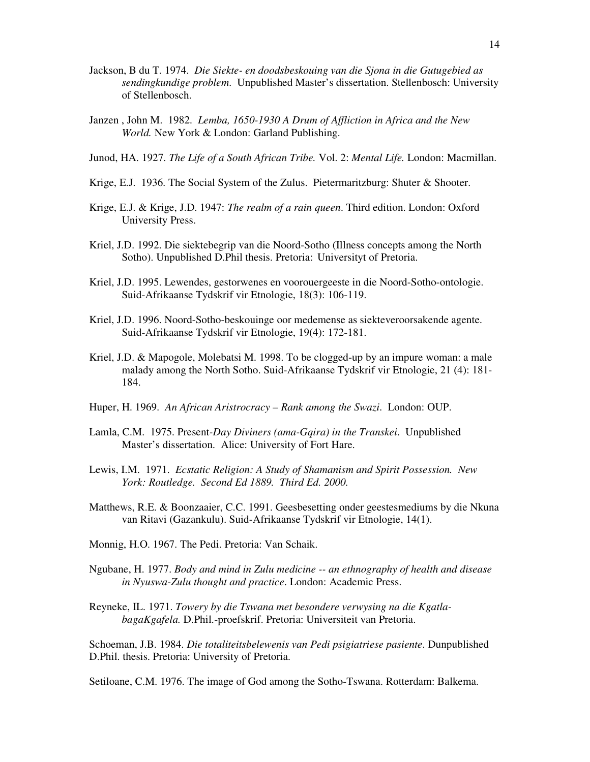- Jackson, B du T. 1974. *Die Siekte- en doodsbeskouing van die Sjona in die Gutugebied as sendingkundige problem*. Unpublished Master's dissertation. Stellenbosch: University of Stellenbosch.
- Janzen , John M. 1982. *Lemba, 1650-1930 A Drum of Affliction in Africa and the New World.* New York & London: Garland Publishing.
- Junod, HA. 1927. *The Life of a South African Tribe.* Vol. 2: *Mental Life.* London: Macmillan.
- Krige, E.J. 1936. The Social System of the Zulus. Pietermaritzburg: Shuter & Shooter.
- Krige, E.J. & Krige, J.D. 1947: *The realm of a rain queen*. Third edition. London: Oxford University Press.
- Kriel, J.D. 1992. Die siektebegrip van die Noord-Sotho (Illness concepts among the North Sotho). Unpublished D.Phil thesis. Pretoria: Universityt of Pretoria.
- Kriel, J.D. 1995. Lewendes, gestorwenes en voorouergeeste in die Noord-Sotho-ontologie. Suid-Afrikaanse Tydskrif vir Etnologie, 18(3): 106-119.
- Kriel, J.D. 1996. Noord-Sotho-beskouinge oor medemense as siekteveroorsakende agente. Suid-Afrikaanse Tydskrif vir Etnologie, 19(4): 172-181.
- Kriel, J.D. & Mapogole, Molebatsi M. 1998. To be clogged-up by an impure woman: a male malady among the North Sotho. Suid-Afrikaanse Tydskrif vir Etnologie, 21 (4): 181- 184.
- Huper, H. 1969. *An African Aristrocracy – Rank among the Swazi*. London: OUP.
- Lamla, C.M. 1975. Present*-Day Diviners (ama-Gqira) in the Transkei*. Unpublished Master's dissertation. Alice: University of Fort Hare.
- Lewis, I.M. 1971. *Ecstatic Religion: A Study of Shamanism and Spirit Possession. New York: Routledge. Second Ed 1889. Third Ed. 2000.*
- Matthews, R.E. & Boonzaaier, C.C. 1991. Geesbesetting onder geestesmediums by die Nkuna van Ritavi (Gazankulu). Suid-Afrikaanse Tydskrif vir Etnologie, 14(1).
- Monnig, H.O. 1967. The Pedi. Pretoria: Van Schaik.
- Ngubane, H. 1977. *Body and mind in Zulu medicine -- an ethnography of health and disease in Nyuswa-Zulu thought and practice*. London: Academic Press.
- Reyneke, IL. 1971. *Towery by die Tswana met besondere verwysing na die KgatlabagaKgafela.* D.Phil.-proefskrif. Pretoria: Universiteit van Pretoria.

Schoeman, J.B. 1984. *Die totaliteitsbelewenis van Pedi psigiatriese pasiente*. Dunpublished D.Phil. thesis. Pretoria: University of Pretoria.

Setiloane, C.M. 1976. The image of God among the Sotho-Tswana. Rotterdam: Balkema.